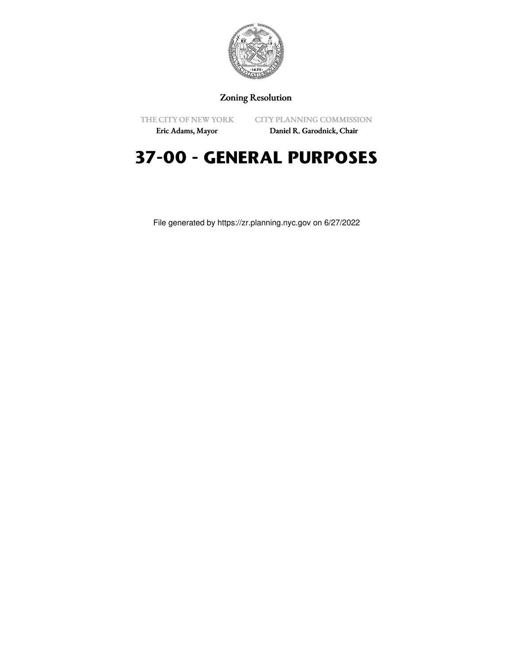

## Zoning Resolution

THE CITY OF NEW YORK

CITY PLANNING COMMISSION

Eric Adams, Mayor

Daniel R. Garodnick, Chair

## **37-00 - GENERAL PURPOSES**

File generated by https://zr.planning.nyc.gov on 6/27/2022